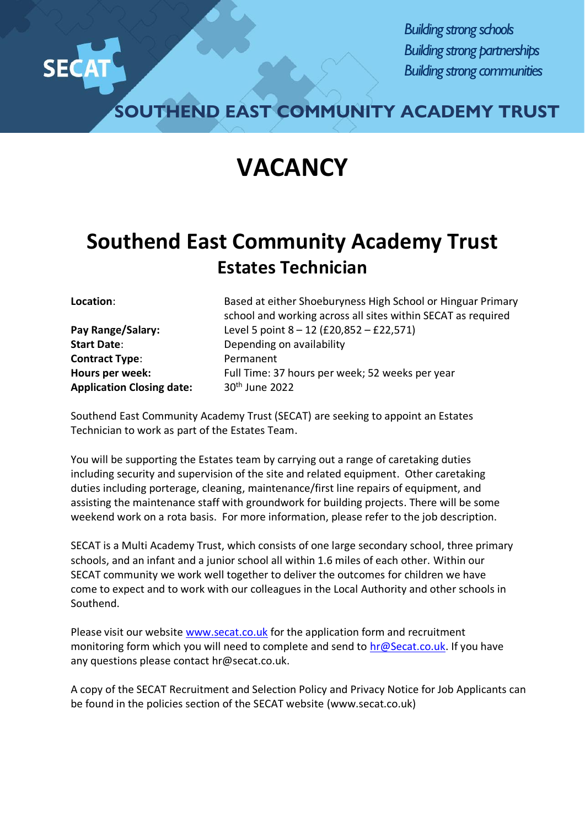

*Building strong schools Building strong partnerships Building strong communities*

**SOUTHEND EAST COMMUNITY ACADEMY TRUST**

## **VACANCY**

## **Southend East Community Academy Trust Estates Technician**

**Start Date:** Depending on availability **Contract Type:** Permanent Application Closing date: 30<sup>th</sup> June 2022

**Location**: Based at either Shoeburyness High School or Hinguar Primary school and working across all sites within SECAT as required **Pay Range/Salary:** Level 5 point 8 – 12 (£20,852 – £22,571) **Hours per week:** Full Time: 37 hours per week; 52 weeks per year

Southend East Community Academy Trust (SECAT) are seeking to appoint an Estates Technician to work as part of the Estates Team.

You will be supporting the Estates team by carrying out a range of caretaking duties including security and supervision of the site and related equipment. Other caretaking duties including porterage, cleaning, maintenance/first line repairs of equipment, and assisting the maintenance staff with groundwork for building projects. There will be some weekend work on a rota basis. For more information, please refer to the job description.

SECAT is a Multi Academy Trust, which consists of one large secondary school, three primary schools, and an infant and a junior school all within 1.6 miles of each other. Within our SECAT community we work well together to deliver the outcomes for children we have come to expect and to work with our colleagues in the Local Authority and other schools in Southend.

Please visit our website [www.secat.co.uk](http://www.secat.co.uk/) for the application form and recruitment monitoring form which you will need to complete and send to [hr@Secat.co.uk.](mailto:hr@Secat.co.uk) If you have any questions please contact hr@secat.co.uk.

A copy of the SECAT Recruitment and Selection Policy and Privacy Notice for Job Applicants can be found in the policies section of the SECAT website (www.secat.co.uk)